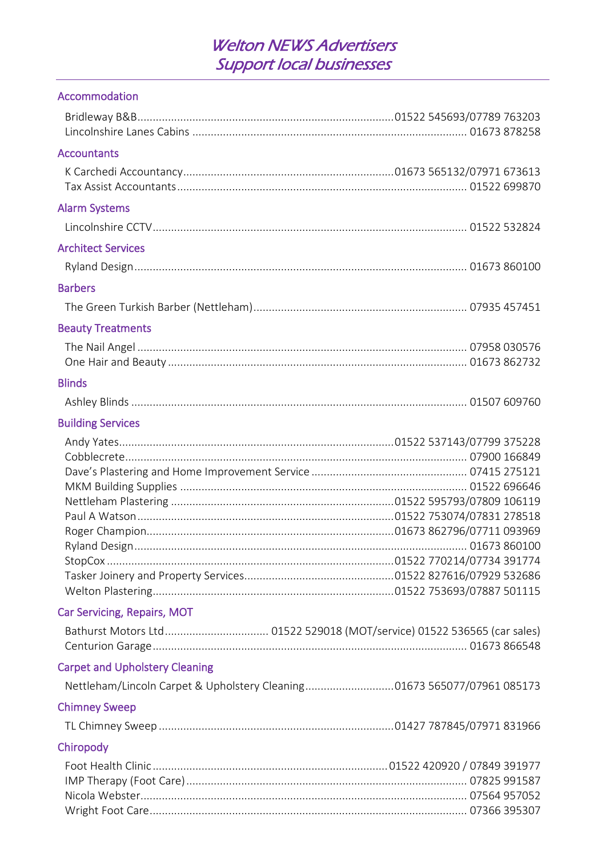#### Accommodation

| <b>Accountants</b>                                                      |  |
|-------------------------------------------------------------------------|--|
|                                                                         |  |
| <b>Alarm Systems</b>                                                    |  |
|                                                                         |  |
| <b>Architect Services</b>                                               |  |
|                                                                         |  |
| <b>Barbers</b>                                                          |  |
|                                                                         |  |
| <b>Beauty Treatments</b>                                                |  |
|                                                                         |  |
|                                                                         |  |
| <b>Blinds</b>                                                           |  |
|                                                                         |  |
| <b>Building Services</b>                                                |  |
|                                                                         |  |
|                                                                         |  |
|                                                                         |  |
|                                                                         |  |
|                                                                         |  |
|                                                                         |  |
|                                                                         |  |
|                                                                         |  |
|                                                                         |  |
|                                                                         |  |
| Car Servicing, Repairs, MOT                                             |  |
|                                                                         |  |
|                                                                         |  |
| <b>Carpet and Upholstery Cleaning</b>                                   |  |
| Nettleham/Lincoln Carpet & Upholstery Cleaning01673 565077/07961 085173 |  |
| <b>Chimney Sweep</b>                                                    |  |
|                                                                         |  |
| Chiropody                                                               |  |
|                                                                         |  |
|                                                                         |  |
|                                                                         |  |
|                                                                         |  |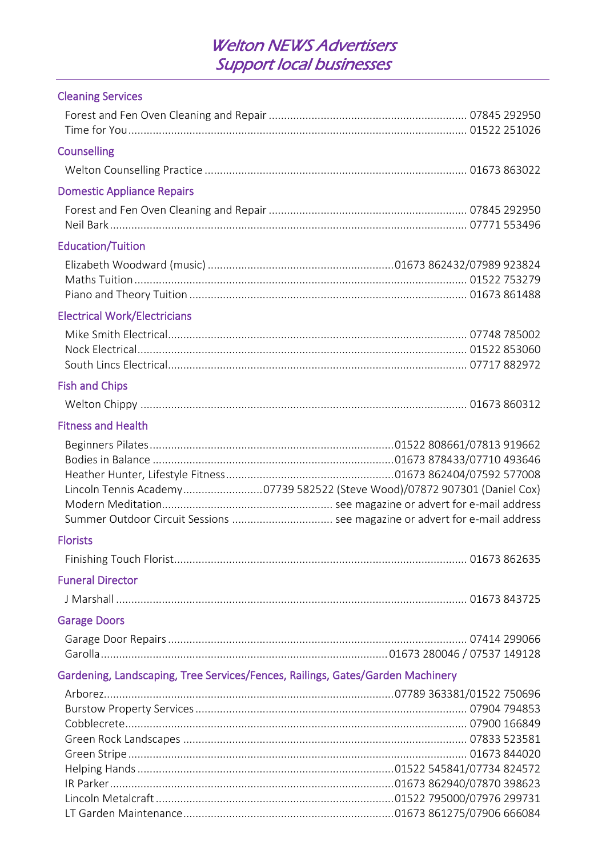#### Cleaning Services

| <b>Counselling</b>                                                             |  |
|--------------------------------------------------------------------------------|--|
|                                                                                |  |
| <b>Domestic Appliance Repairs</b>                                              |  |
|                                                                                |  |
|                                                                                |  |
| <b>Education/Tuition</b>                                                       |  |
|                                                                                |  |
|                                                                                |  |
|                                                                                |  |
| <b>Electrical Work/Electricians</b>                                            |  |
|                                                                                |  |
|                                                                                |  |
|                                                                                |  |
| <b>Fish and Chips</b>                                                          |  |
|                                                                                |  |
| <b>Fitness and Health</b>                                                      |  |
|                                                                                |  |
|                                                                                |  |
|                                                                                |  |
| Lincoln Tennis Academy07739 582522 (Steve Wood)/07872 907301 (Daniel Cox)      |  |
| Summer Outdoor Circuit Sessions  see magazine or advert for e-mail address     |  |
| <b>Florists</b>                                                                |  |
|                                                                                |  |
| <b>Funeral Director</b>                                                        |  |
|                                                                                |  |
| <b>Garage Doors</b>                                                            |  |
|                                                                                |  |
|                                                                                |  |
| Gardening, Landscaping, Tree Services/Fences, Railings, Gates/Garden Machinery |  |
|                                                                                |  |
|                                                                                |  |
|                                                                                |  |
|                                                                                |  |
|                                                                                |  |
|                                                                                |  |
|                                                                                |  |
|                                                                                |  |
|                                                                                |  |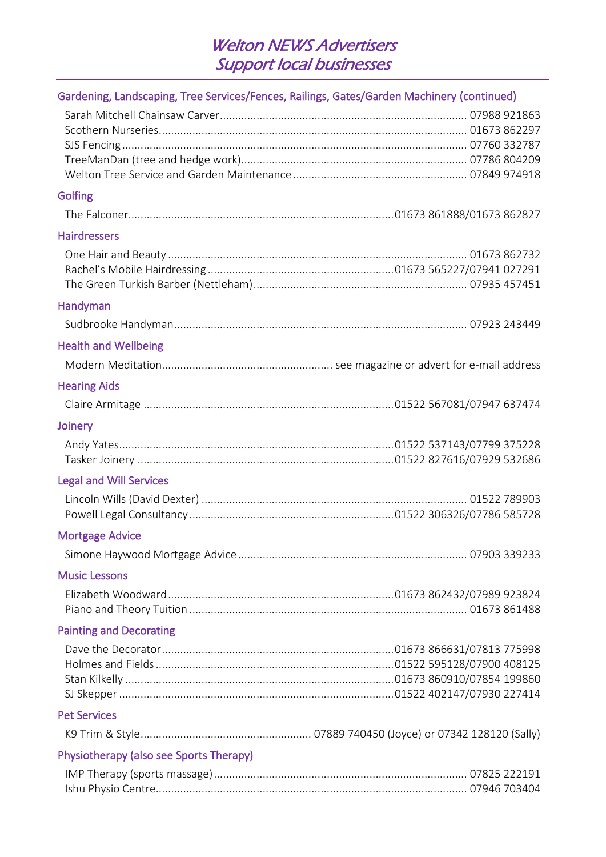| Gardening, Landscaping, Tree Services/Fences, Railings, Gates/Garden Machinery (continued) |  |
|--------------------------------------------------------------------------------------------|--|
|                                                                                            |  |
|                                                                                            |  |
|                                                                                            |  |
|                                                                                            |  |
|                                                                                            |  |
| <b>Golfing</b>                                                                             |  |
|                                                                                            |  |
| <b>Hairdressers</b>                                                                        |  |
|                                                                                            |  |
|                                                                                            |  |
|                                                                                            |  |
| Handyman                                                                                   |  |
|                                                                                            |  |
| <b>Health and Wellbeing</b>                                                                |  |
|                                                                                            |  |
| <b>Hearing Aids</b>                                                                        |  |
|                                                                                            |  |
| Joinery                                                                                    |  |
|                                                                                            |  |
|                                                                                            |  |
| <b>Legal and Will Services</b>                                                             |  |
|                                                                                            |  |
|                                                                                            |  |
| <b>Mortgage Advice</b>                                                                     |  |
|                                                                                            |  |
| <b>Music Lessons</b>                                                                       |  |
|                                                                                            |  |
|                                                                                            |  |
| <b>Painting and Decorating</b>                                                             |  |
|                                                                                            |  |
|                                                                                            |  |
|                                                                                            |  |
|                                                                                            |  |
| <b>Pet Services</b>                                                                        |  |
|                                                                                            |  |
| Physiotherapy (also see Sports Therapy)                                                    |  |
|                                                                                            |  |
|                                                                                            |  |